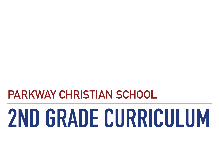## **PARKWAY CHRISTIAN SCHOOL**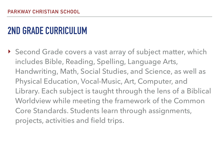▶ Second Grade covers a vast array of subject matter, which includes Bible, Reading, Spelling, Language Arts, Handwriting, Math, Social Studies, and Science, as well as Physical Education, Vocal-Music, Art, Computer, and Library. Each subject is taught through the lens of a Biblical Worldview while meeting the framework of the Common Core Standards. Students learn through assignments, projects, activities and field trips.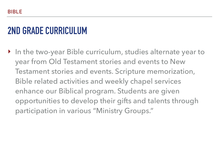‣ In the two-year Bible curriculum, studies alternate year to year from Old Testament stories and events to New Testament stories and events. Scripture memorization, Bible related activities and weekly chapel services enhance our Biblical program. Students are given opportunities to develop their gifts and talents through participation in various "Ministry Groups."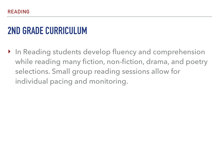‣ In Reading students develop fluency and comprehension while reading many fiction, non-fiction, drama, and poetry selections. Small group reading sessions allow for individual pacing and monitoring.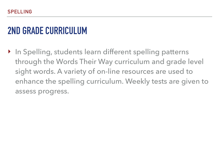▶ In Spelling, students learn different spelling patterns through the Words Their Way curriculum and grade level sight words. A variety of on-line resources are used to enhance the spelling curriculum. Weekly tests are given to assess progress.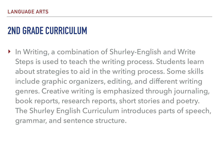‣ In Writing, a combination of Shurley-English and Write Steps is used to teach the writing process. Students learn about strategies to aid in the writing process. Some skills include graphic organizers, editing, and different writing genres. Creative writing is emphasized through journaling, book reports, research reports, short stories and poetry. The Shurley English Curriculum introduces parts of speech, grammar, and sentence structure.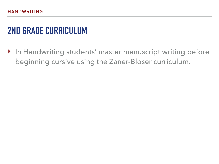‣ In Handwriting students' master manuscript writing before beginning cursive using the Zaner-Bloser curriculum.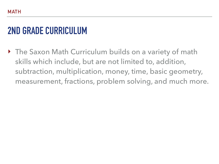‣ The Saxon Math Curriculum builds on a variety of math skills which include, but are not limited to, addition, subtraction, multiplication, money, time, basic geometry, measurement, fractions, problem solving, and much more.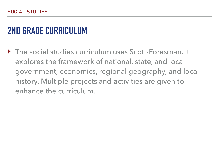‣ The social studies curriculum uses Scott-Foresman. It explores the framework of national, state, and local government, economics, regional geography, and local history. Multiple projects and activities are given to enhance the curriculum.